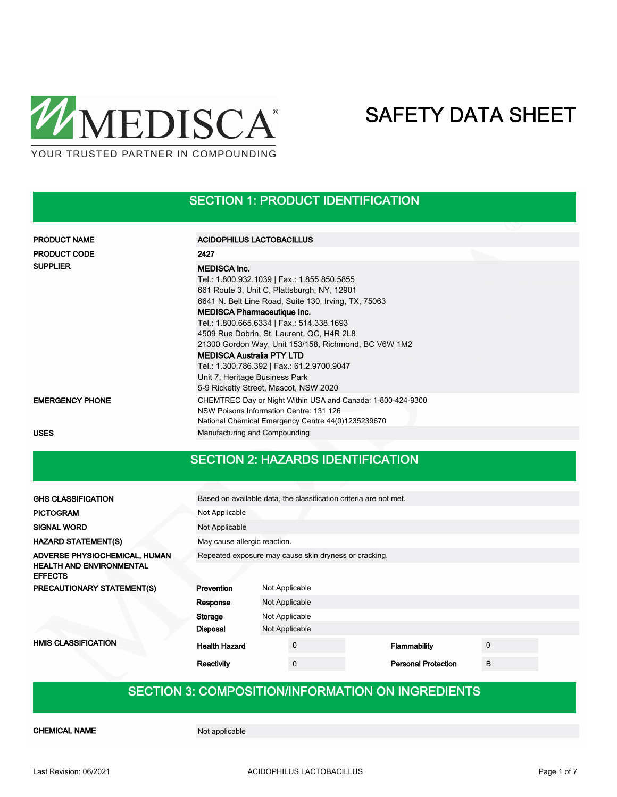

SECTION 1: PRODUCT IDENTIFICATION

| <b>PRODUCT NAME</b>    | ACIDOPHILUS LACTOBACILLUS                                                                                                                                                                                                                                                                                                                                                                                                                                                                                                      |  |  |  |  |  |  |
|------------------------|--------------------------------------------------------------------------------------------------------------------------------------------------------------------------------------------------------------------------------------------------------------------------------------------------------------------------------------------------------------------------------------------------------------------------------------------------------------------------------------------------------------------------------|--|--|--|--|--|--|
| <b>PRODUCT CODE</b>    | 2427                                                                                                                                                                                                                                                                                                                                                                                                                                                                                                                           |  |  |  |  |  |  |
| <b>SUPPLIER</b>        | <b>MEDISCA Inc.</b><br>Tel.: 1.800.932.1039   Fax.: 1.855.850.5855<br>661 Route 3, Unit C, Plattsburgh, NY, 12901<br>6641 N. Belt Line Road, Suite 130, Irving, TX, 75063<br><b>MEDISCA Pharmaceutique Inc.</b><br>Tel.: 1.800.665.6334   Fax.: 514.338.1693<br>4509 Rue Dobrin, St. Laurent, QC, H4R 2L8<br>21300 Gordon Way, Unit 153/158, Richmond, BC V6W 1M2<br><b>MEDISCA Australia PTY LTD</b><br>Tel.: 1.300.786.392   Fax.: 61.2.9700.9047<br>Unit 7, Heritage Business Park<br>5-9 Ricketty Street, Mascot, NSW 2020 |  |  |  |  |  |  |
| <b>EMERGENCY PHONE</b> | CHEMTREC Day or Night Within USA and Canada: 1-800-424-9300<br>NSW Poisons Information Centre: 131 126<br>National Chemical Emergency Centre 44(0)1235239670                                                                                                                                                                                                                                                                                                                                                                   |  |  |  |  |  |  |
| <b>USES</b>            | Manufacturing and Compounding                                                                                                                                                                                                                                                                                                                                                                                                                                                                                                  |  |  |  |  |  |  |

## SECTION 2: HAZARDS IDENTIFICATION

| <b>GHS CLASSIFICATION</b>                                        | Based on available data, the classification criteria are not met. |                              |                |  |                            |   |  |  |
|------------------------------------------------------------------|-------------------------------------------------------------------|------------------------------|----------------|--|----------------------------|---|--|--|
| <b>PICTOGRAM</b>                                                 | Not Applicable                                                    |                              |                |  |                            |   |  |  |
| <b>SIGNAL WORD</b>                                               | Not Applicable                                                    |                              |                |  |                            |   |  |  |
| <b>HAZARD STATEMENT(S)</b>                                       |                                                                   | May cause allergic reaction. |                |  |                            |   |  |  |
| ADVERSE PHYSIOCHEMICAL, HUMAN<br><b>HEALTH AND ENVIRONMENTAL</b> | Repeated exposure may cause skin dryness or cracking.             |                              |                |  |                            |   |  |  |
| <b>EFFECTS</b>                                                   |                                                                   |                              |                |  |                            |   |  |  |
| PRECAUTIONARY STATEMENT(S)                                       | Prevention                                                        | Not Applicable               |                |  |                            |   |  |  |
|                                                                  | Response                                                          | Not Applicable               |                |  |                            |   |  |  |
|                                                                  | Storage                                                           |                              | Not Applicable |  |                            |   |  |  |
|                                                                  | Disposal                                                          | Not Applicable               |                |  |                            |   |  |  |
| <b>HMIS CLASSIFICATION</b>                                       | <b>Health Hazard</b>                                              |                              | $\mathbf 0$    |  | Flammability               | 0 |  |  |
|                                                                  | Reactivity                                                        |                              | $\mathbf 0$    |  | <b>Personal Protection</b> | B |  |  |

## SECTION 3: COMPOSITION/INFORMATION ON INGREDIENTS

CHEMICAL NAME Not applicable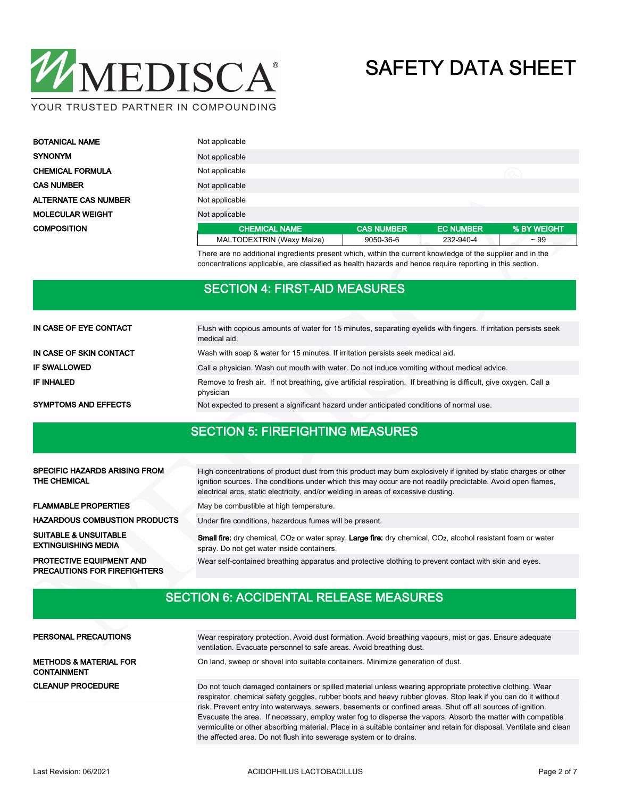

| <b>BOTANICAL NAME</b>       | Not applicable            |                   |                  |             |  |  |
|-----------------------------|---------------------------|-------------------|------------------|-------------|--|--|
| <b>SYNONYM</b>              | Not applicable            |                   |                  |             |  |  |
| <b>CHEMICAL FORMULA</b>     | Not applicable            |                   |                  |             |  |  |
| <b>CAS NUMBER</b>           | Not applicable            |                   |                  |             |  |  |
| <b>ALTERNATE CAS NUMBER</b> | Not applicable            |                   |                  |             |  |  |
| <b>MOLECULAR WEIGHT</b>     | Not applicable            |                   |                  |             |  |  |
| <b>COMPOSITION</b>          | <b>CHEMICAL NAME</b>      | <b>CAS NUMBER</b> | <b>EC NUMBER</b> | % BY WEIGHT |  |  |
|                             | MALTODEXTRIN (Waxy Maize) | 9050-36-6         | 232-940-4        | $~1$ 99     |  |  |

There are no additional ingredients present which, within the current knowledge of the supplier and in the concentrations applicable, are classified as health hazards and hence require reporting in this section.

## SECTION 4: FIRST-AID MEASURES

| IN CASE OF EYE CONTACT      | Flush with copious amounts of water for 15 minutes, separating eyelids with fingers. If irritation persists seek<br>medical aid. |  |  |  |  |  |
|-----------------------------|----------------------------------------------------------------------------------------------------------------------------------|--|--|--|--|--|
| IN CASE OF SKIN CONTACT     | Wash with soap & water for 15 minutes. If irritation persists seek medical aid.                                                  |  |  |  |  |  |
| <b>IF SWALLOWED</b>         | Call a physician. Wash out mouth with water. Do not induce vomiting without medical advice.                                      |  |  |  |  |  |
| IF INHALED                  | Remove to fresh air. If not breathing, give artificial respiration. If breathing is difficult, give oxygen. Call a<br>physician  |  |  |  |  |  |
| <b>SYMPTOMS AND EFFECTS</b> | Not expected to present a significant hazard under anticipated conditions of normal use.                                         |  |  |  |  |  |

## SECTION 5: FIREFIGHTING MEASURES

| <b>SPECIFIC HAZARDS ARISING FROM</b><br><b>THE CHEMICAL</b>            | High concentrations of product dust from this product may burn explosively if ignited by static charges or other<br>ignition sources. The conditions under which this may occur are not readily predictable. Avoid open flames,<br>electrical arcs, static electricity, and/or welding in areas of excessive dusting. |
|------------------------------------------------------------------------|-----------------------------------------------------------------------------------------------------------------------------------------------------------------------------------------------------------------------------------------------------------------------------------------------------------------------|
| <b>FLAMMABLE PROPERTIES</b>                                            | May be combustible at high temperature.                                                                                                                                                                                                                                                                               |
| <b>HAZARDOUS COMBUSTION PRODUCTS</b>                                   | Under fire conditions, hazardous fumes will be present.                                                                                                                                                                                                                                                               |
| <b>SUITABLE &amp; UNSUITABLE</b><br><b>EXTINGUISHING MEDIA</b>         | Small fire: dry chemical, CO <sub>2</sub> or water spray. Large fire: dry chemical, CO <sub>2</sub> , alcohol resistant foam or water<br>spray. Do not get water inside containers.                                                                                                                                   |
| <b>PROTECTIVE EQUIPMENT AND</b><br><b>PRECAUTIONS FOR FIREFIGHTERS</b> | Wear self-contained breathing apparatus and protective clothing to prevent contact with skin and eyes.                                                                                                                                                                                                                |

## SECTION 6: ACCIDENTAL RELEASE MEASURES

| PERSONAL PRECAUTIONS                                    | Wear respiratory protection. Avoid dust formation. Avoid breathing vapours, mist or gas. Ensure adequate<br>ventilation. Evacuate personnel to safe areas. Avoid breathing dust.                                                                                                                                                                                                                                                                                                                                                                                              |
|---------------------------------------------------------|-------------------------------------------------------------------------------------------------------------------------------------------------------------------------------------------------------------------------------------------------------------------------------------------------------------------------------------------------------------------------------------------------------------------------------------------------------------------------------------------------------------------------------------------------------------------------------|
| <b>METHODS &amp; MATERIAL FOR</b><br><b>CONTAINMENT</b> | On land, sweep or shovel into suitable containers. Minimize generation of dust.                                                                                                                                                                                                                                                                                                                                                                                                                                                                                               |
| <b>CLEANUP PROCEDURE</b>                                | Do not touch damaged containers or spilled material unless wearing appropriate protective clothing. Wear<br>respirator, chemical safety goggles, rubber boots and heavy rubber gloves. Stop leak if you can do it without<br>risk. Prevent entry into waterways, sewers, basements or confined areas. Shut off all sources of ignition.<br>Evacuate the area. If necessary, employ water fog to disperse the vapors. Absorb the matter with compatible<br>vermiculite or other absorbing material. Place in a suitable container and retain for disposal. Ventilate and clean |

the affected area. Do not flush into sewerage system or to drains.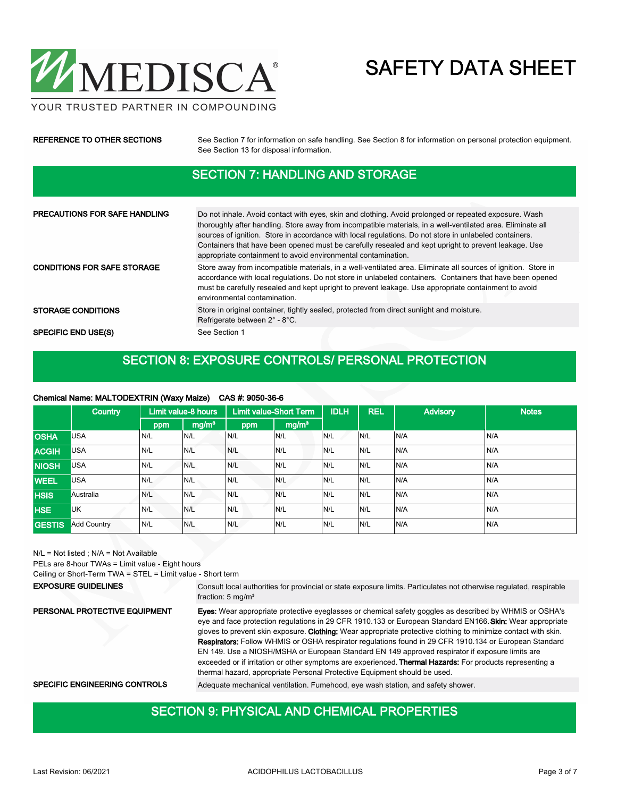

|                             | $A = A = (A + B) + (B + B) + (C - A) + (D - A) + (A - A) + (C - A) + (C - A) + (C - A) + (C - A) + (C - A) + (C - A) + (C - A) + (C - A) + (C - A) + (C - A) + (C - A) + (C - A) + (C - A) + (C - A) + (C - A) + (C - A) + (C - A) + (C - A) + (C - A) + (C - A) + (C - A) + (C - A) + (C - A) + (C - A) + (C - A) + (C - A) + (C - A) + (C - A) + (C - A) + (C - A) + (C - A) +$ |
|-----------------------------|-----------------------------------------------------------------------------------------------------------------------------------------------------------------------------------------------------------------------------------------------------------------------------------------------------------------------------------------------------------------------------------|
|                             | See Section 13 for disposal information.                                                                                                                                                                                                                                                                                                                                          |
| REFERENCE TO OTHER SECTIONS | See Section 7 for information on safe handling. See Section 8 for information on personal protection equipment.                                                                                                                                                                                                                                                                   |

### SECTION 7: HANDLING AND STORAGE

| <b>PRECAUTIONS FOR SAFE HANDLING</b> | Do not inhale. Avoid contact with eyes, skin and clothing. Avoid prolonged or repeated exposure. Wash<br>thoroughly after handling. Store away from incompatible materials, in a well-ventilated area. Eliminate all<br>sources of ignition. Store in accordance with local regulations. Do not store in unlabeled containers.<br>Containers that have been opened must be carefully resealed and kept upright to prevent leakage. Use<br>appropriate containment to avoid environmental contamination. |
|--------------------------------------|---------------------------------------------------------------------------------------------------------------------------------------------------------------------------------------------------------------------------------------------------------------------------------------------------------------------------------------------------------------------------------------------------------------------------------------------------------------------------------------------------------|
| <b>CONDITIONS FOR SAFE STORAGE</b>   | Store away from incompatible materials, in a well-ventilated area. Eliminate all sources of ignition. Store in<br>accordance with local regulations. Do not store in unlabeled containers. Containers that have been opened<br>must be carefully resealed and kept upright to prevent leakage. Use appropriate containment to avoid<br>environmental contamination.                                                                                                                                     |
| <b>STORAGE CONDITIONS</b>            | Store in original container, tightly sealed, protected from direct sunlight and moisture.<br>Refrigerate between 2° - 8°C.                                                                                                                                                                                                                                                                                                                                                                              |
| <b>SPECIFIC END USE(S)</b>           | See Section 1                                                                                                                                                                                                                                                                                                                                                                                                                                                                                           |

### SECTION 8: EXPOSURE CONTROLS/ PERSONAL PROTECTION

#### Chemical Name: MALTODEXTRIN (Waxy Maize) CAS #: 9050-36-6

|               | <b>Country</b>     |     | Limit value-8 hours |     | <b>Limit value-Short Term</b> | <b>IDLH</b> | <b>REL</b> | <b>Advisory</b> | <b>Notes</b> |
|---------------|--------------------|-----|---------------------|-----|-------------------------------|-------------|------------|-----------------|--------------|
|               |                    | ppm | mg/m <sup>3</sup>   | ppm | mg/m <sup>3</sup>             |             |            |                 |              |
| <b>OSHA</b>   | <b>USA</b>         | N/L | N/L                 | N/L | N/L                           | N/L         | IN/L       | N/A             | N/A          |
| <b>ACGIH</b>  | <b>USA</b>         | N/L | N/L                 | N/L | N/L                           | N/L         | IN/L       | N/A             | N/A          |
| <b>NIOSH</b>  | <b>USA</b>         | N/L | N/L                 | N/L | N/L                           | N/L         | IN/L       | N/A             | N/A          |
| <b>WEEL</b>   | <b>USA</b>         | N/L | IN/L                | N/L | N/L                           | N/L         | IN/L       | N/A             | N/A          |
| <b>HSIS</b>   | Australia          | N/L | N/L                 | N/L | N/L                           | N/L         | IN/L       | N/A             | N/A          |
| <b>HSE</b>    | UK                 | N/L | N/L                 | N/L | N/L                           | N/L         | N/L        | N/A             | N/A          |
| <b>GESTIS</b> | <b>Add Country</b> | N/L | N/L                 | N/L | N/L                           | N/L         | IN/L       | N/A             | N/A          |

N/L = Not listed ; N/A = Not Available

PELs are 8-hour TWAs = Limit value - Eight hours

Ceiling or Short-Term TWA = STEL = Limit value - Short term

Consult local authorities for provincial or state exposure limits. Particulates not otherwise regulated, respirable fraction: 5 mg/m<sup>3</sup> EXPOSURE GUIDELINES Eyes: Wear appropriate protective eyeglasses or chemical safety goggles as described by WHMIS or OSHA's eye and face protection regulations in 29 CFR 1910.133 or European Standard EN166. Skin: Wear appropriate gloves to prevent skin exposure. Clothing: Wear appropriate protective clothing to minimize contact with skin. Respirators: Follow WHMIS or OSHA respirator regulations found in 29 CFR 1910.134 or European Standard EN 149. Use a NIOSH/MSHA or European Standard EN 149 approved respirator if exposure limits are exceeded or if irritation or other symptoms are experienced. Thermal Hazards: For products representing a thermal hazard, appropriate Personal Protective Equipment should be used. PERSONAL PROTECTIVE EQUIPMENT SPECIFIC ENGINEERING CONTROLS Adequate mechanical ventilation. Fumehood, eye wash station, and safety shower.

## SECTION 9: PHYSICAL AND CHEMICAL PROPERTIES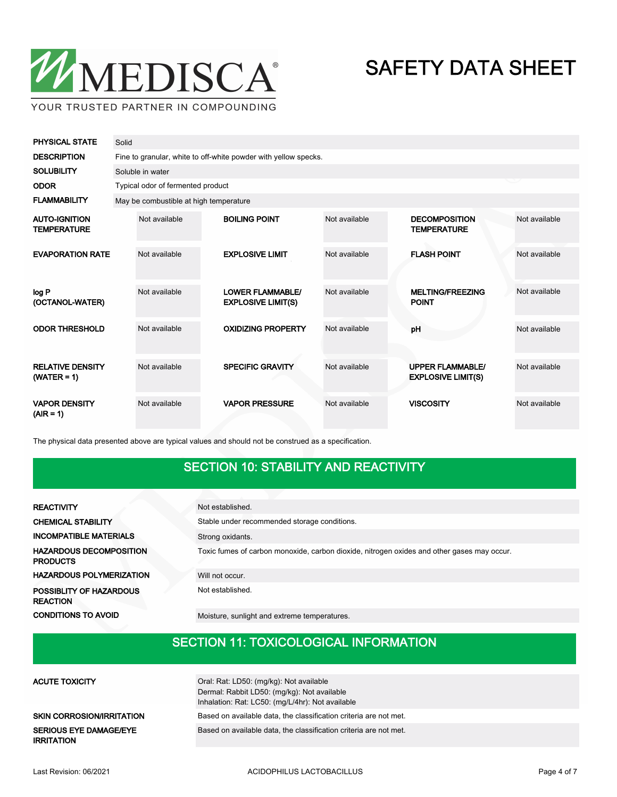

| <b>PHYSICAL STATE</b>                      | Solid |                                                                 |  |                                                      |               |                                                      |               |  |  |  |
|--------------------------------------------|-------|-----------------------------------------------------------------|--|------------------------------------------------------|---------------|------------------------------------------------------|---------------|--|--|--|
| <b>DESCRIPTION</b>                         |       | Fine to granular, white to off-white powder with yellow specks. |  |                                                      |               |                                                      |               |  |  |  |
| <b>SOLUBILITY</b>                          |       | Soluble in water                                                |  |                                                      |               |                                                      |               |  |  |  |
| <b>ODOR</b>                                |       | Typical odor of fermented product                               |  |                                                      |               |                                                      |               |  |  |  |
| <b>FLAMMABILITY</b>                        |       | May be combustible at high temperature                          |  |                                                      |               |                                                      |               |  |  |  |
| <b>AUTO-IGNITION</b><br><b>TEMPERATURE</b> |       | Not available                                                   |  | <b>BOILING POINT</b>                                 | Not available | <b>DECOMPOSITION</b><br><b>TEMPERATURE</b>           | Not available |  |  |  |
| <b>EVAPORATION RATE</b>                    |       | Not available                                                   |  | <b>EXPLOSIVE LIMIT</b>                               | Not available | <b>FLASH POINT</b>                                   | Not available |  |  |  |
| log P<br>(OCTANOL-WATER)                   |       | Not available                                                   |  | <b>LOWER FLAMMABLE/</b><br><b>EXPLOSIVE LIMIT(S)</b> | Not available | <b>MELTING/FREEZING</b><br><b>POINT</b>              | Not available |  |  |  |
| <b>ODOR THRESHOLD</b>                      |       | Not available                                                   |  | <b>OXIDIZING PROPERTY</b>                            | Not available | pH                                                   | Not available |  |  |  |
| <b>RELATIVE DENSITY</b><br>$(WATER = 1)$   |       | Not available                                                   |  | <b>SPECIFIC GRAVITY</b>                              | Not available | <b>UPPER FLAMMABLE/</b><br><b>EXPLOSIVE LIMIT(S)</b> | Not available |  |  |  |
| <b>VAPOR DENSITY</b><br>$(AIR = 1)$        |       | Not available                                                   |  | <b>VAPOR PRESSURE</b>                                | Not available | <b>VISCOSITY</b>                                     | Not available |  |  |  |

The physical data presented above are typical values and should not be construed as a specification.

## SECTION 10: STABILITY AND REACTIVITY

| <b>REACTIVITY</b>                                 | Not established.                                                                           |
|---------------------------------------------------|--------------------------------------------------------------------------------------------|
| <b>CHEMICAL STABILITY</b>                         | Stable under recommended storage conditions.                                               |
| <b>INCOMPATIBLE MATERIALS</b>                     | Strong oxidants.                                                                           |
| <b>HAZARDOUS DECOMPOSITION</b><br><b>PRODUCTS</b> | Toxic fumes of carbon monoxide, carbon dioxide, nitrogen oxides and other gases may occur. |
| <b>HAZARDOUS POLYMERIZATION</b>                   | Will not occur.                                                                            |
| POSSIBLITY OF HAZARDOUS<br><b>REACTION</b>        | Not established.                                                                           |
| <b>CONDITIONS TO AVOID</b>                        | Moisture, sunlight and extreme temperatures.                                               |

## SECTION 11: TOXICOLOGICAL INFORMATION

| <b>ACUTE TOXICITY</b>                              | Oral: Rat: LD50: (mg/kg): Not available<br>Dermal: Rabbit LD50: (mg/kg): Not available<br>Inhalation: Rat: LC50: (mg/L/4hr): Not available |
|----------------------------------------------------|--------------------------------------------------------------------------------------------------------------------------------------------|
|                                                    |                                                                                                                                            |
| <b>SKIN CORROSION/IRRITATION</b>                   | Based on available data, the classification criteria are not met.                                                                          |
| <b>SERIOUS EYE DAMAGE/EYE</b><br><b>IRRITATION</b> | Based on available data, the classification criteria are not met.                                                                          |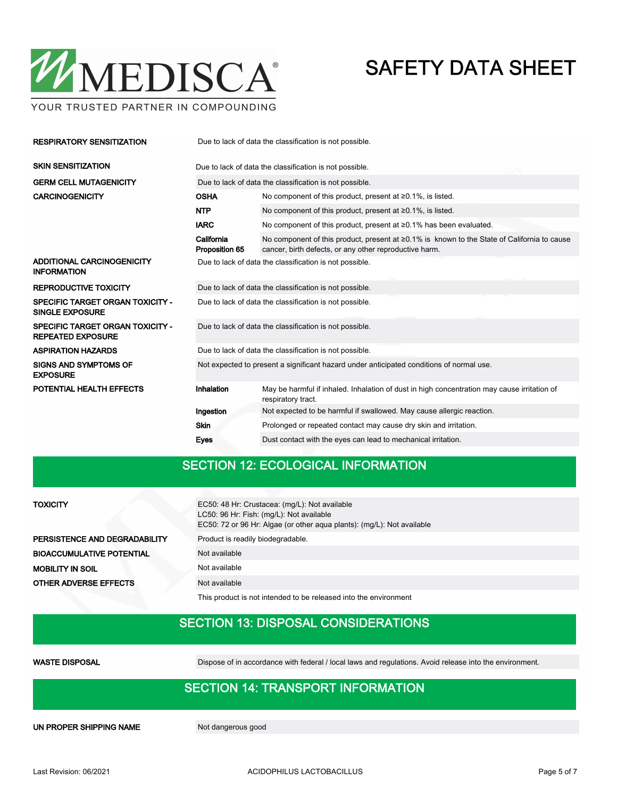

YOUR TRUSTED PARTNER IN COMPOUNDING

| <b>RESPIRATORY SENSITIZATION</b>                                    | Due to lack of data the classification is not possible.                                  |                                                                                                                                                       |  |  |  |
|---------------------------------------------------------------------|------------------------------------------------------------------------------------------|-------------------------------------------------------------------------------------------------------------------------------------------------------|--|--|--|
| <b>SKIN SENSITIZATION</b>                                           | Due to lack of data the classification is not possible.                                  |                                                                                                                                                       |  |  |  |
| <b>GERM CELL MUTAGENICITY</b>                                       | Due to lack of data the classification is not possible.                                  |                                                                                                                                                       |  |  |  |
| <b>CARCINOGENICITY</b>                                              | <b>OSHA</b>                                                                              | No component of this product, present at $\geq 0.1\%$ , is listed.                                                                                    |  |  |  |
|                                                                     | <b>NTP</b>                                                                               | No component of this product, present at $\geq 0.1\%$ , is listed.                                                                                    |  |  |  |
|                                                                     | <b>IARC</b>                                                                              | No component of this product, present at $\geq 0.1\%$ has been evaluated.                                                                             |  |  |  |
|                                                                     | California<br>Proposition 65                                                             | No component of this product, present at ≥0.1% is known to the State of California to cause<br>cancer, birth defects, or any other reproductive harm. |  |  |  |
| ADDITIONAL CARCINOGENICITY<br><b>INFORMATION</b>                    | Due to lack of data the classification is not possible.                                  |                                                                                                                                                       |  |  |  |
| <b>REPRODUCTIVE TOXICITY</b>                                        | Due to lack of data the classification is not possible.                                  |                                                                                                                                                       |  |  |  |
| SPECIFIC TARGET ORGAN TOXICITY -<br><b>SINGLE EXPOSURE</b>          | Due to lack of data the classification is not possible.                                  |                                                                                                                                                       |  |  |  |
| <b>SPECIFIC TARGET ORGAN TOXICITY -</b><br><b>REPEATED EXPOSURE</b> | Due to lack of data the classification is not possible.                                  |                                                                                                                                                       |  |  |  |
| <b>ASPIRATION HAZARDS</b>                                           | Due to lack of data the classification is not possible.                                  |                                                                                                                                                       |  |  |  |
| <b>SIGNS AND SYMPTOMS OF</b><br><b>EXPOSURE</b>                     | Not expected to present a significant hazard under anticipated conditions of normal use. |                                                                                                                                                       |  |  |  |
| POTENTIAL HEALTH EFFECTS                                            | Inhalation                                                                               | May be harmful if inhaled. Inhalation of dust in high concentration may cause irritation of<br>respiratory tract.                                     |  |  |  |
|                                                                     | Ingestion                                                                                | Not expected to be harmful if swallowed. May cause allergic reaction.                                                                                 |  |  |  |
|                                                                     | <b>Skin</b>                                                                              | Prolonged or repeated contact may cause dry skin and irritation.                                                                                      |  |  |  |
|                                                                     | Eyes                                                                                     | Dust contact with the eyes can lead to mechanical irritation.                                                                                         |  |  |  |

## SECTION 12: ECOLOGICAL INFORMATION

| <b>TOXICITY</b>                  | EC50: 48 Hr: Crustacea: (mg/L): Not available<br>LC50: 96 Hr: Fish: (mg/L): Not available<br>EC50: 72 or 96 Hr: Algae (or other aqua plants): (mg/L): Not available |  |  |  |
|----------------------------------|---------------------------------------------------------------------------------------------------------------------------------------------------------------------|--|--|--|
| PERSISTENCE AND DEGRADABILITY    | Product is readily biodegradable.                                                                                                                                   |  |  |  |
| <b>BIOACCUMULATIVE POTENTIAL</b> | Not available                                                                                                                                                       |  |  |  |
| <b>MOBILITY IN SOIL</b>          | Not available                                                                                                                                                       |  |  |  |
| <b>OTHER ADVERSE EFFECTS</b>     | Not available                                                                                                                                                       |  |  |  |
|                                  | This product is not intended to be released into the environment                                                                                                    |  |  |  |

## SECTION 13: DISPOSAL CONSIDERATIONS

WASTE DISPOSAL Dispose of in accordance with federal / local laws and regulations. Avoid release into the environment.

## SECTION 14: TRANSPORT INFORMATION

UN PROPER SHIPPING NAME Not dangerous good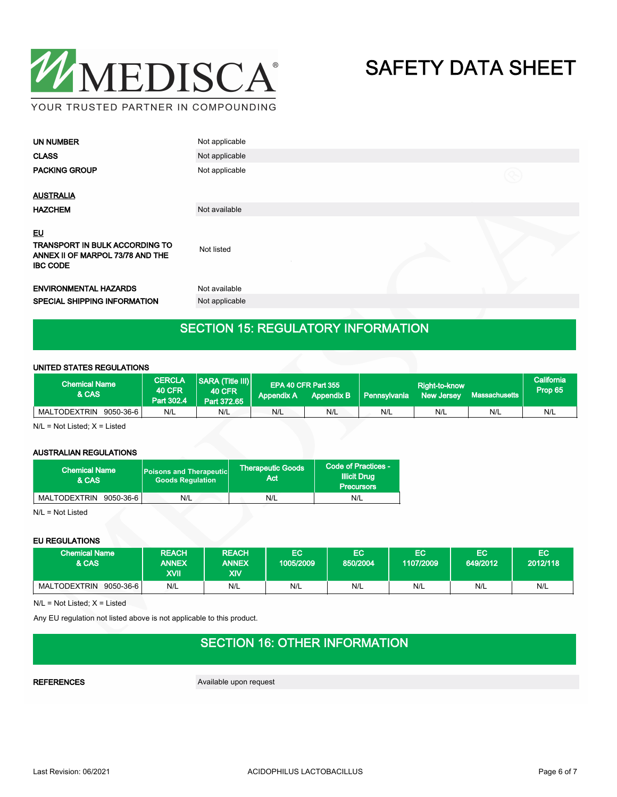

| <b>UN NUMBER</b>                                                                                          | Not applicable |             |
|-----------------------------------------------------------------------------------------------------------|----------------|-------------|
| <b>CLASS</b>                                                                                              | Not applicable |             |
| <b>PACKING GROUP</b>                                                                                      | Not applicable | $\circledR$ |
| <b>AUSTRALIA</b>                                                                                          |                |             |
| <b>HAZCHEM</b>                                                                                            | Not available  |             |
| <u>EU</u><br><b>TRANSPORT IN BULK ACCORDING TO</b><br>ANNEX II OF MARPOL 73/78 AND THE<br><b>IBC CODE</b> | Not listed     |             |
| <b>ENVIRONMENTAL HAZARDS</b>                                                                              | Not available  |             |
| <b>SPECIAL SHIPPING INFORMATION</b>                                                                       | Not applicable |             |
|                                                                                                           |                |             |

## SECTION 15: REGULATORY INFORMATION

#### UNITED STATES REGULATIONS

| <b>Chemical Name</b><br>& CAS | <b>CERCLA</b><br><b>40 CFR</b><br>Part 302.4 | <b>SARA (Title III)</b><br><b>40 CFR</b><br>Part 372.65 | <b>Appendix A</b> | EPA 40 CFR Part 355<br><b>Appendix B</b> | Pennsylvania | Right-to-know<br><b>New Jersey</b> | Massachusetts | California<br>Prop 65 |
|-------------------------------|----------------------------------------------|---------------------------------------------------------|-------------------|------------------------------------------|--------------|------------------------------------|---------------|-----------------------|
| MALTODEXTRIN<br>9050-36-6     | N/L                                          | N/L                                                     | N/L               | N/L                                      | N/L          | N/L                                | N/L           | N/L                   |

N/L = Not Listed; X = Listed

#### AUSTRALIAN REGULATIONS

| <b>Chemical Name</b><br>& CAS | <b>Poisons and Therapeutic</b><br><b>Goods Requlation</b> | <b>Therapeutic Goods</b><br>Act | Code of Practices -<br><b>Illicit Drug</b><br><b>Precursors</b> |  |
|-------------------------------|-----------------------------------------------------------|---------------------------------|-----------------------------------------------------------------|--|
| MALTODEXTRIN<br>9050-36-6     | N/L                                                       | N/L                             | N/L                                                             |  |

N/L = Not Listed

#### EU REGULATIONS

| <b>Chemical Name</b><br>& CAS    | <b>REACH</b><br><b>ANNEX</b><br><b>KVII</b> | <b>REACH</b><br><b>ANNEX</b><br>XIV | EC<br>1005/2009 | EC<br>850/2004 | EC<br>1107/2009 | EC<br>649/2012 | EC<br>2012/118 |
|----------------------------------|---------------------------------------------|-------------------------------------|-----------------|----------------|-----------------|----------------|----------------|
| <b>MALTODEXTRIN</b><br>9050-36-6 | N/L                                         | N/L                                 | N/L             | N/L            | N/L             | N/L            | N/L            |

 $N/L = Not$  Listed;  $X =$  Listed

Any EU regulation not listed above is not applicable to this product.

## SECTION 16: OTHER INFORMATION

REFERENCES Available upon request